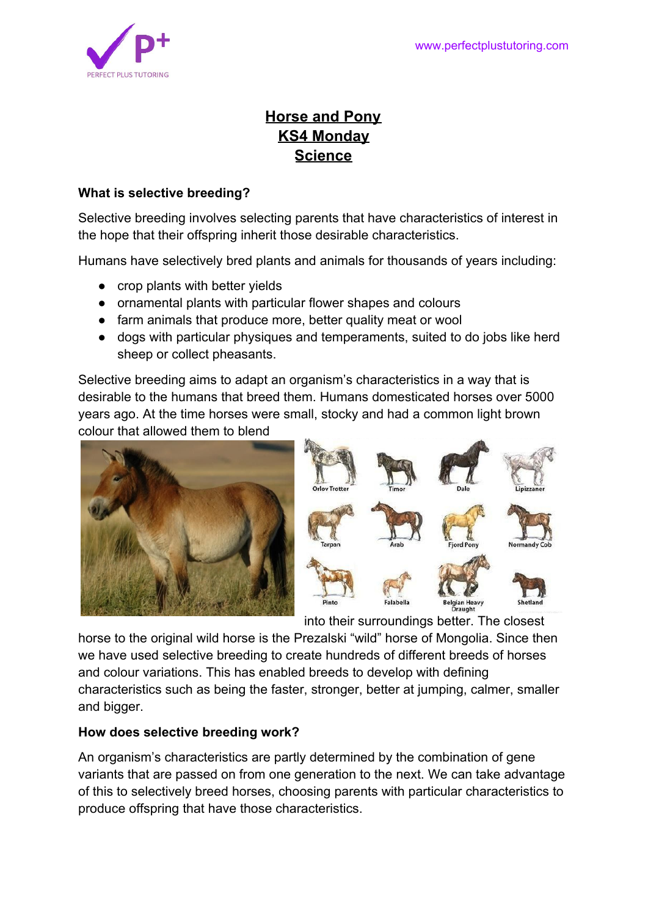

# **Horse and Pony KS4 Monday Science**

### **What is selective breeding?**

Selective breeding involves selecting parents that have characteristics of interest in the hope that their offspring inherit those desirable characteristics.

Humans have selectively bred plants and animals for thousands of years including:

- crop plants with better yields
- ornamental plants with particular flower shapes and colours
- farm animals that produce more, better quality meat or wool
- dogs with particular physiques and temperaments, suited to do jobs like herd sheep or collect pheasants.

Selective breeding aims to adapt an organism's characteristics in a way that is desirable to the humans that breed them. Humans domesticated horses over 5000 years ago. At the time horses were small, stocky and had a common light brown colour that allowed them to blend





into their surroundings better. The closest

horse to the original wild horse is the Prezalski "wild" horse of Mongolia. Since then we have used selective breeding to create hundreds of different breeds of horses and colour variations. This has enabled breeds to develop with defining characteristics such as being the faster, stronger, better at jumping, calmer, smaller and bigger.

### **How does selective breeding work?**

An organism's characteristics are partly determined by the combination of gene variants that are passed on from one generation to the next. We can take advantage of this to selectively breed horses, choosing parents with particular characteristics to produce offspring that have those characteristics.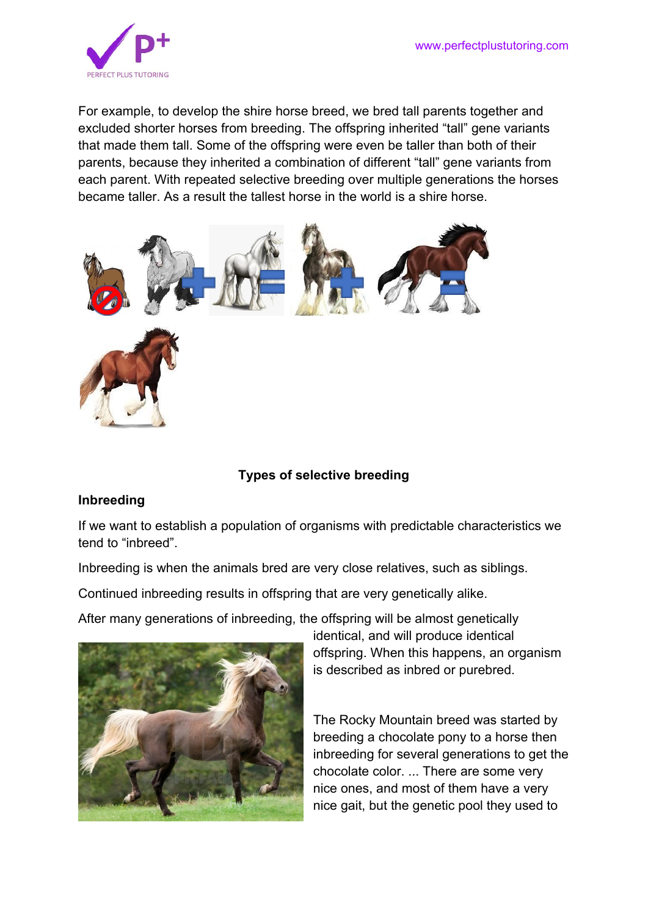

For example, to develop the shire horse breed, we bred tall parents together and excluded shorter horses from breeding. The offspring inherited "tall" gene variants that made them tall. Some of the offspring were even be taller than both of their parents, because they inherited a combination of different "tall" gene variants from each parent. With repeated selective breeding over multiple generations the horses became taller. As a result the tallest horse in the world is a shire horse.



### **Types of selective breeding**

#### **Inbreeding**

If we want to establish a population of organisms with predictable characteristics we tend to "inbreed".

Inbreeding is when the animals bred are very close relatives, such as siblings.

Continued inbreeding results in offspring that are very genetically alike.

After many generations of inbreeding, the offspring will be almost genetically



identical, and will produce identical offspring. When this happens, an organism is described as inbred or purebred.

The Rocky Mountain breed was started by breeding a chocolate pony to a horse then inbreeding for several generations to get the chocolate color. ... There are some very nice ones, and most of them have a very nice gait, but the genetic pool they used to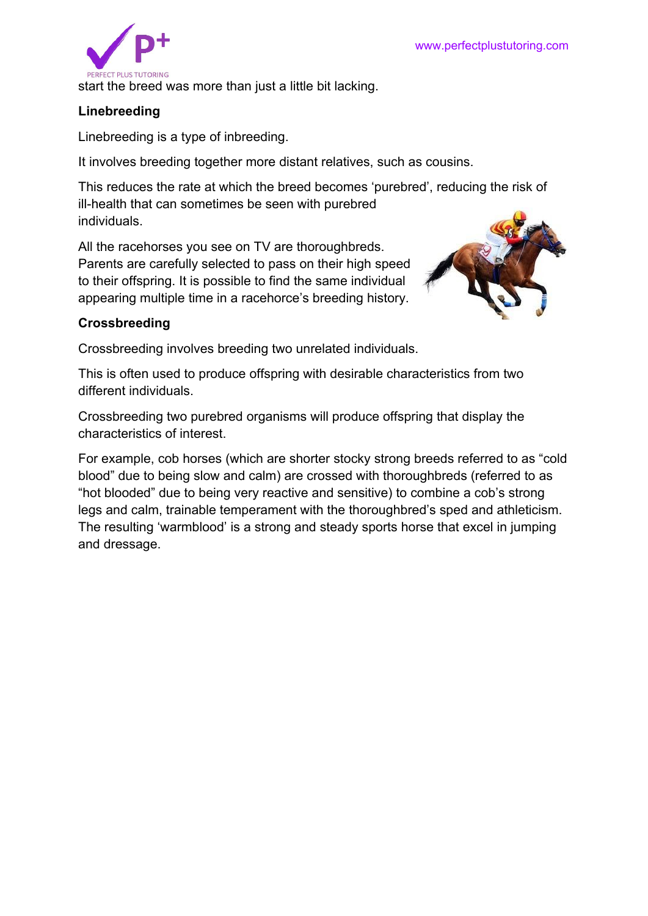

start the breed was more than just a little bit lacking.

### **Linebreeding**

Linebreeding is a type of inbreeding.

It involves breeding together more distant relatives, such as cousins.

This reduces the rate at which the breed becomes 'purebred', reducing the risk of ill-health that can sometimes be seen with purebred individuals.

All the racehorses you see on TV are thoroughbreds. Parents are carefully selected to pass on their high speed to their offspring. It is possible to find the same individual appearing multiple time in a racehorce's breeding history.



## **Crossbreeding**

Crossbreeding involves breeding two unrelated individuals.

This is often used to produce offspring with desirable characteristics from two different individuals.

Crossbreeding two purebred organisms will produce offspring that display the characteristics of interest.

For example, cob horses (which are shorter stocky strong breeds referred to as "cold blood" due to being slow and calm) are crossed with thoroughbreds (referred to as "hot blooded" due to being very reactive and sensitive) to combine a cob's strong legs and calm, trainable temperament with the thoroughbred's sped and athleticism. The resulting 'warmblood' is a strong and steady sports horse that excel in jumping and dressage.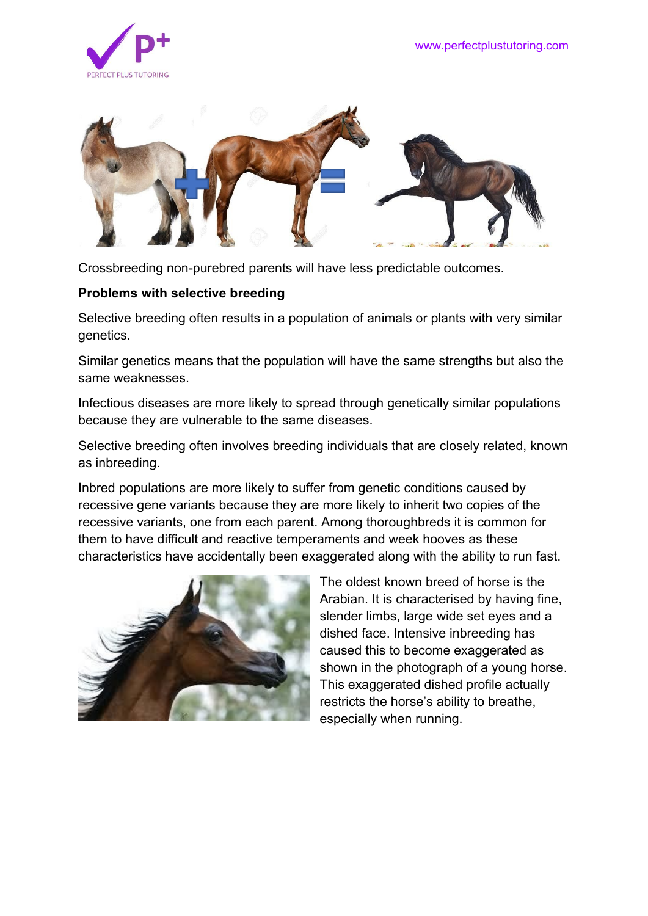



Crossbreeding non-purebred parents will have less predictable outcomes.

#### **Problems with selective breeding**

Selective breeding often results in a population of animals or plants with very similar genetics.

Similar genetics means that the population will have the same strengths but also the same weaknesses.

Infectious diseases are more likely to spread through genetically similar populations because they are vulnerable to the same diseases.

Selective breeding often involves breeding individuals that are closely related, known as inbreeding.

Inbred populations are more likely to suffer from genetic conditions caused by recessive gene variants because they are more likely to inherit two copies of the recessive variants, one from each parent. Among thoroughbreds it is common for them to have difficult and reactive temperaments and week hooves as these characteristics have accidentally been exaggerated along with the ability to run fast.



The oldest known breed of horse is the Arabian. It is characterised by having fine, slender limbs, large wide set eyes and a dished face. Intensive inbreeding has caused this to become exaggerated as shown in the photograph of a young horse. This exaggerated dished profile actually restricts the horse's ability to breathe, especially when running.